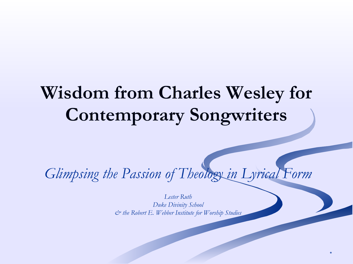#### **Wisdom from Charles Wesley for Contemporary Songwriters**

*Glimpsing the Passion of Theology in Lyrical Form*

*Lester Ruth Duke Divinity School & the Robert E. Webber Institute for Worship Studies*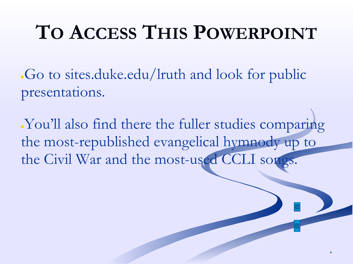# **TO ACCESS THIS POWERPOINT**

•Go to sites.duke.edu/lruth and look for public presentations.

Nou'll also find there the fuller studies comparing the most-republished evangelical hymnody up to the Civil War and the most-used CCLI songs.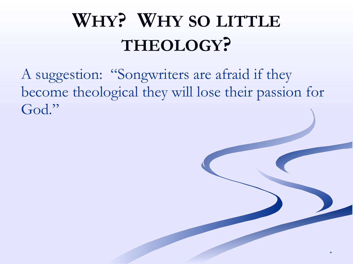# **WHY? WHY SO LITTLE THEOLOGY?**

A suggestion: "Songwriters are afraid if they become theological they will lose their passion for God."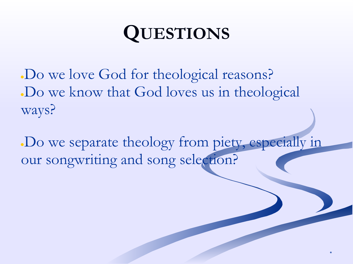## **QUESTIONS**

. Do we love God for theological reasons? . Do we know that God loves us in theological ways?

●Do we separate theology from piety, especially in our songwriting and song selection?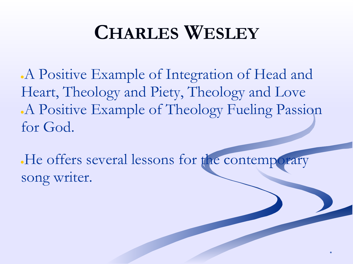#### **CHARLES WESLEY**

●A Positive Example of Integration of Head and Heart, Theology and Piety, Theology and Love A Positive Example of Theology Fueling Passion for God.

• He offers several lessons for the contemporary song writer.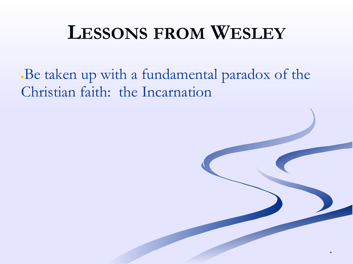#### **LESSONS FROM WESLEY**

\*

Be taken up with a fundamental paradox of the Christian faith: the Incarnation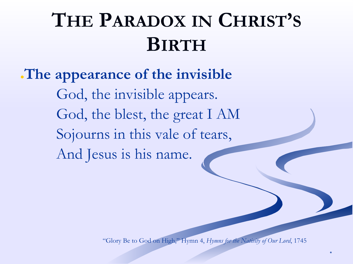●**The appearance of the invisible** God, the invisible appears. God, the blest, the great I AM Sojourns in this vale of tears, And Jesus is his name.

"Glory Be to God on High," Hymn 4, *Hymns for the Nativity of Our Lord*, 1745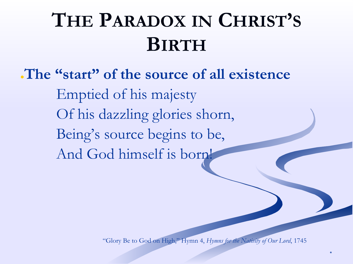●**The "start" of the source of all existence** Emptied of his majesty Of his dazzling glories shorn, Being's source begins to be, And God himself is born!

"Glory Be to God on High," Hymn 4, *Hymns for the Nativity of Our Lord*, 1745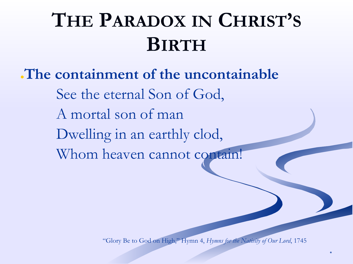#### ●**The containment of the uncontainable** See the eternal Son of God, A mortal son of man Dwelling in an earthly clod, Whom heaven cannot contain!

"Glory Be to God on High," Hymn 4, *Hymns for the Nativity of Our Lord*, 1745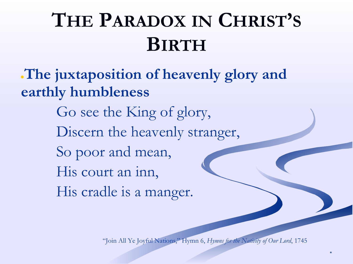●**The juxtaposition of heavenly glory and earthly humbleness**

> Go see the King of glory, Discern the heavenly stranger, So poor and mean, His court an inn,

His cradle is a manger.

"Join All Ye Joyful Nations," Hymn 6, *Hymns for the Nativity of Our Lord*, 1745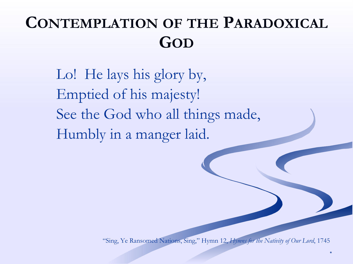#### **CONTEMPLATION OF THE PARADOXICAL GOD**

Lo! He lays his glory by, Emptied of his majesty! See the God who all things made, Humbly in a manger laid.

"Sing, Ye Ransomed Nations, Sing," Hymn 12, *Hymns for the Nativity of Our Lord*, 1745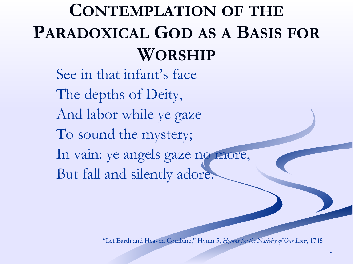#### **CONTEMPLATION OF THE PARADOXICAL GOD AS A BASIS FOR WORSHIP**

See in that infant's face The depths of Deity, And labor while ye gaze To sound the mystery; In vain: ye angels gaze no more, But fall and silently adore.

"Let Earth and Heaven Combine," Hymn 5, *Hymns for the Nativity of Our Lord*, 1745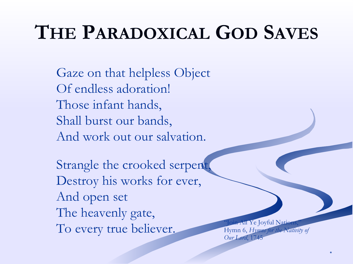# **THE PARADOXICAL GOD SAVES**

Gaze on that helpless Object Of endless adoration! Those infant hands, Shall burst our bands, And work out our salvation.

Strangle the crooked serpent Destroy his works for ever, And open set The heavenly gate, To every true believer. Thymn 6, Hymns for the Nation

Hymn 6, *Hymns for the Nativity of Our Lord*, 1745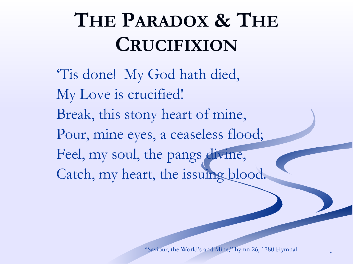# **THE PARADOX & THE CRUCIFIXION**

'Tis done! My God hath died, My Love is crucified! Break, this stony heart of mine, Pour, mine eyes, a ceaseless flood; Feel, my soul, the pangs divine, Catch, my heart, the issuing blood.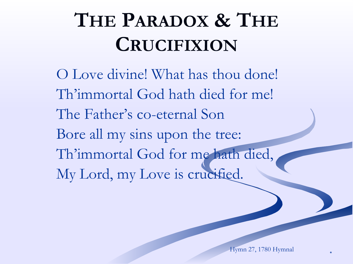# **THE PARADOX & THE CRUCIFIXION**

O Love divine! What has thou done! Th'immortal God hath died for me! The Father's co-eternal Son Bore all my sins upon the tree: Th'immortal God for me hath died, My Lord, my Love is crucified.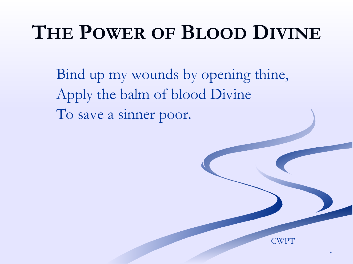## **THE POWER OF BLOOD DIVINE**

Bind up my wounds by opening thine, Apply the balm of blood Divine To save a sinner poor.

\*

**CWPT**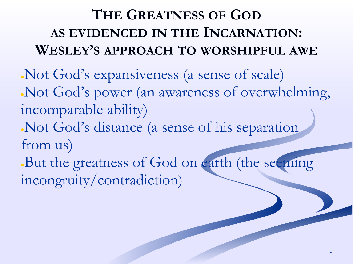#### **THE GREATNESS OF GOD AS EVIDENCED IN THE INCARNATION: WESLEY'S APPROACH TO WORSHIPFUL AWE**

●Not God's expansiveness (a sense of scale) ●Not God's power (an awareness of overwhelming, incomparable ability) Not God's distance (a sense of his separation from us) But the greatness of God on earth (the seeming

\*

incongruity/contradiction)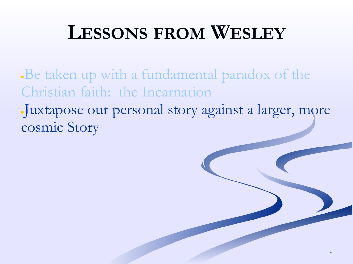### **LESSONS FROM WESLEY**

**Be taken up with a fundamental paradox of the** Christian faith: the Incarnation

●Juxtapose our personal story against a larger, more cosmic Story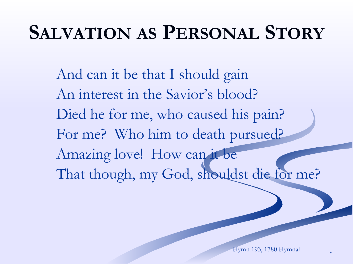## **SALVATION AS PERSONAL STORY**

And can it be that I should gain An interest in the Savior's blood? Died he for me, who caused his pain? For me? Who him to death pursued? Amazing love! How can it be That though, my God, shouldst die for me?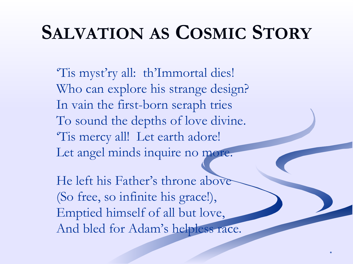### **SALVATION AS COSMIC STORY**

'Tis myst'ry all: th'Immortal dies! Who can explore his strange design? In vain the first-born seraph tries To sound the depths of love divine. 'Tis mercy all! Let earth adore! Let angel minds inquire no more.

He left his Father's throne above (So free, so infinite his grace!), Emptied himself of all but love, And bled for Adam's helpless race.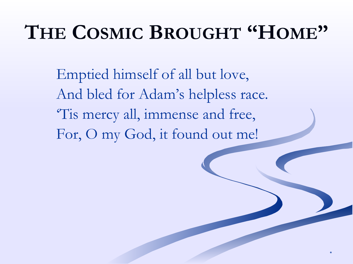### **THE COSMIC BROUGHT "HOME"**

Emptied himself of all but love, And bled for Adam's helpless race. 'Tis mercy all, immense and free, For, O my God, it found out me!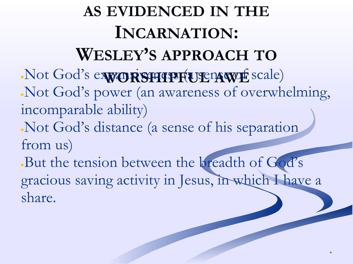**AS EVIDENCED IN THE INCARNATION: WESLEY'S APPROACH TO** •Not God's expansivents (a sense of scale) ●Not God's power (an awareness of overwhelming, incomparable ability) Not God's distance (a sense of his separation from us) But the tension between the breadth of God's gracious saving activity in Jesus, in which I have a share.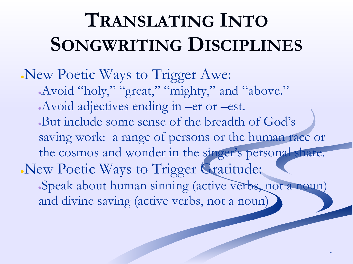# **TRANSLATING INTO SONGWRITING DISCIPLINES**

New Poetic Ways to Trigger Awe: Avoid "holy," "great," "mighty," and "above." Avoid adjectives ending in –er or –est. But include some sense of the breadth of God's saving work: a range of persons or the human race or the cosmos and wonder in the singer's personal share. New Poetic Ways to Trigger Gratitude: Speak about human sinning (active verbs, not a noun) and divine saving (active verbs, not a noun)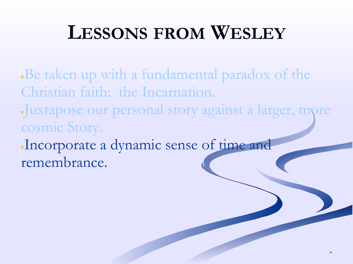### **LESSONS FROM WESLEY**

Be taken up with a fundamental paradox of the Christian faith: the Incarnation.

●Juxtapose our personal story against a larger, more cosmic Story.

\*

●Incorporate a dynamic sense of time and remembrance.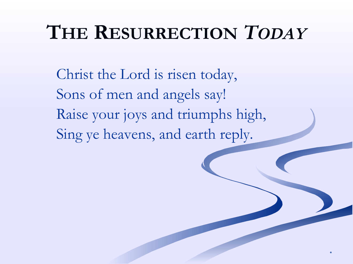## **THE RESURRECTION** *TODAY*

\*

Christ the Lord is risen today, Sons of men and angels say! Raise your joys and triumphs high, Sing ye heavens, and earth reply.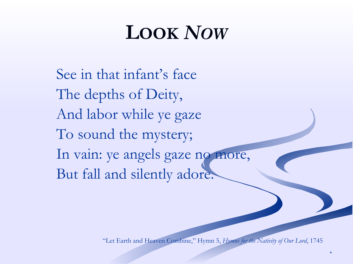# **LOOK** *NOW*

See in that infant's face The depths of Deity, And labor while ye gaze To sound the mystery; In vain: ye angels gaze no more, But fall and silently adore.

"Let Earth and Heaven Combine," Hymn 5, *Hymns for the Nativity of Our Lord*, 1745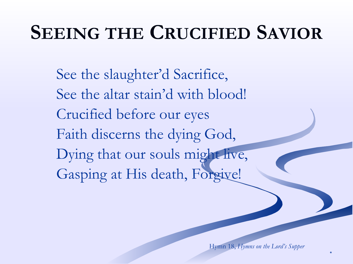## **SEEING THE CRUCIFIED SAVIOR**

See the slaughter'd Sacrifice, See the altar stain'd with blood! Crucified before our eyes Faith discerns the dying God, Dying that our souls might live, Gasping at His death, Forgive!

Hymn 18, *Hymns on the Lord's Supper*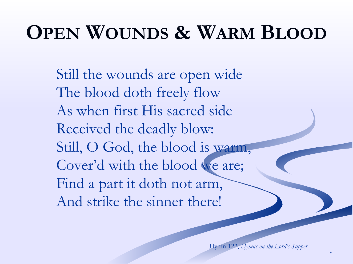# **OPEN WOUNDS & WARM BLOOD**

Still the wounds are open wide The blood doth freely flow As when first His sacred side Received the deadly blow: Still, O God, the blood is warm, Cover'd with the blood we are; Find a part it doth not arm, And strike the sinner there!

Hymn 122, *Hymns on the Lord's Supper*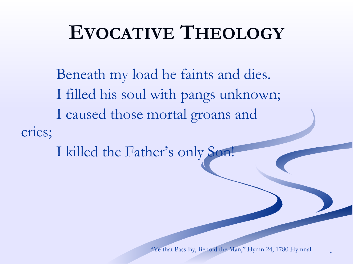### **EVOCATIVE THEOLOGY**

Beneath my load he faints and dies. I filled his soul with pangs unknown; I caused those mortal groans and cries;

I killed the Father's only Son!

"Ye that Pass By, Behold the Man," Hymn 24, 1780 Hymnal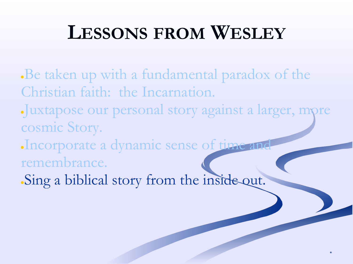#### **LESSONS FROM WESLEY**

- Be taken up with a fundamental paradox of the Christian faith: the Incarnation.
- ●Juxtapose our personal story against a larger, more cosmic Story.

- Incorporate a dynamic sense of time and remembrance.
- . Sing a biblical story from the inside out.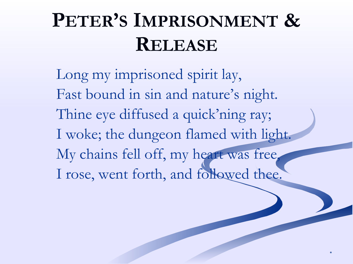# **PETER'S IMPRISONMENT & RELEASE**

Long my imprisoned spirit lay, Fast bound in sin and nature's night. Thine eye diffused a quick'ning ray; I woke; the dungeon flamed with light. My chains fell off, my heart was free, I rose, went forth, and followed thee.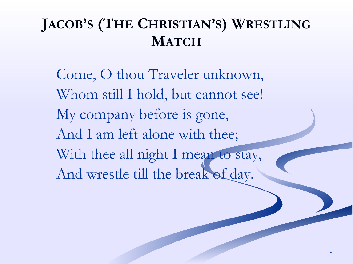#### **JACOB'S (THE CHRISTIAN'S) WRESTLING MATCH**

Come, O thou Traveler unknown, Whom still I hold, but cannot see! My company before is gone, And I am left alone with thee; With thee all night I mean to stay, And wrestle till the break of day.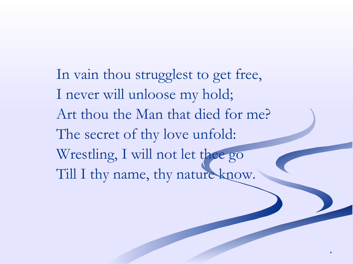In vain thou strugglest to get free, I never will unloose my hold; Art thou the Man that died for me? The secret of thy love unfold: Wrestling, I will not let thee go Till I thy name, thy nature know.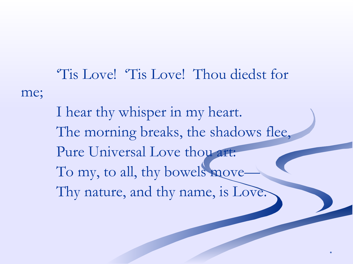'Tis Love! 'Tis Love! Thou diedst for me; I hear thy whisper in my heart. The morning breaks, the shadows flee, Pure Universal Love thou art:

To my, to all, thy bowels move-

Thy nature, and thy name, is Love.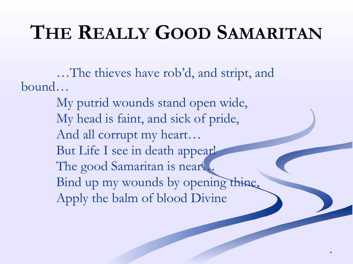# **THE REALLY GOOD SAMARITAN**

…The thieves have rob'd, and stript, and bound…

> My putrid wounds stand open wide, My head is faint, and sick of pride, And all corrupt my heart… But Life I see in death appear! The good Samaritan is near... Bind up my wounds by opening thine, Apply the balm of blood Divine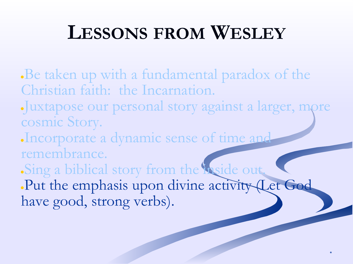### **LESSONS FROM WESLEY**

- **Be taken up with a fundamental paradox of the** Christian faith: the Incarnation.
- ●Juxtapose our personal story against a larger, more cosmic Story.
- ●Incorporate a dynamic sense of time and remembrance.
- Sing a biblical story from the hoside out.
- .Put the emphasis upon divine activity (Let God have good, strong verbs).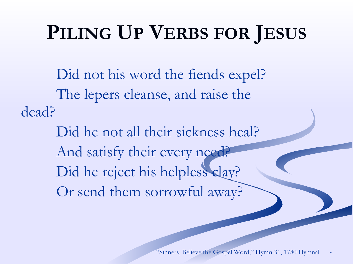# **PILING UP VERBS FOR JESUS**

Did not his word the fiends expel? The lepers cleanse, and raise the dead?

> Did he not all their sickness heal? And satisfy their every need? Did he reject his helpless clay? Or send them sorrowful away?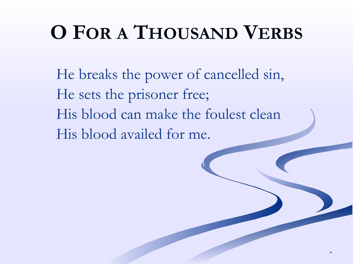# **O FOR A THOUSAND VERBS**

He breaks the power of cancelled sin, He sets the prisoner free; His blood can make the foulest clean His blood availed for me.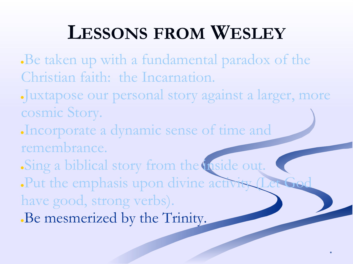## **LESSONS FROM WESLEY**

- Be taken up with a fundamental paradox of the Christian faith: the Incarnation.
- ●Juxtapose our personal story against a larger, more cosmic Story.

- ●Incorporate a dynamic sense of time and remembrance.
- Sing a biblical story from the inside out.
- ●Put the emphasis upon divine activity (Let God
- have good, strong verbs).
- Be mesmerized by the Trinity.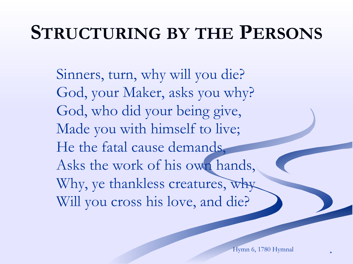## **STRUCTURING BY THE PERSONS**

Sinners, turn, why will you die? God, your Maker, asks you why? God, who did your being give, Made you with himself to live; He the fatal cause demands, Asks the work of his own hands, Why, ye thankless creatures, why Will you cross his love, and die?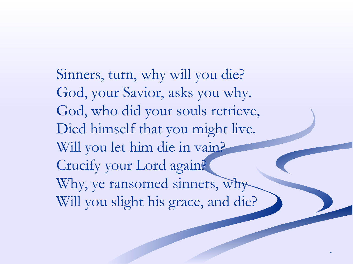Sinners, turn, why will you die? God, your Savior, asks you why. God, who did your souls retrieve, Died himself that you might live. Will you let him die in vain? Crucify your Lord again? Why, ye ransomed sinners, why Will you slight his grace, and die?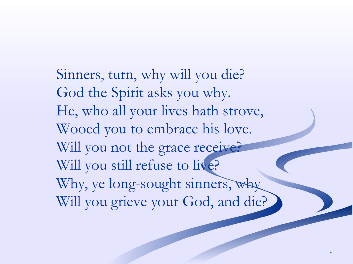Sinners, turn, why will you die? God the Spirit asks you why. He, who all your lives hath strove, Wooed you to embrace his love. Will you not the grace receive? Will you still refuse to live? Why, ye long-sought sinners, why Will you grieve your God, and die?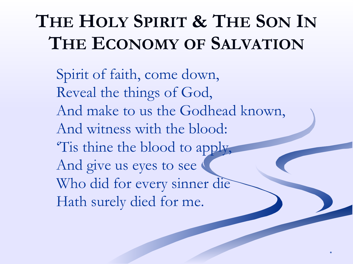# **THE HOLY SPIRIT & THE SON IN THE ECONOMY OF SALVATION**

Spirit of faith, come down, Reveal the things of God, And make to us the Godhead known, And witness with the blood: 'Tis thine the blood to apply, And give us eyes to see Who did for every sinner die Hath surely died for me.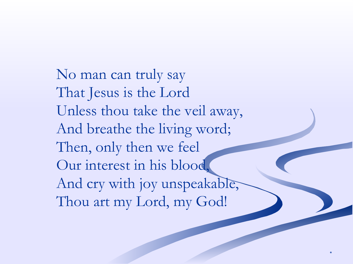No man can truly say That Jesus is the Lord Unless thou take the veil away, And breathe the living word; Then, only then we feel Our interest in his blood, And cry with joy unspeakable, Thou art my Lord, my God!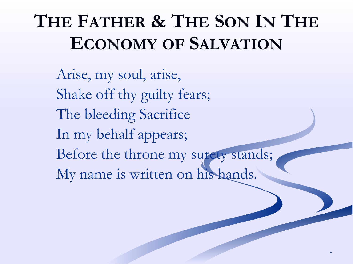## **THE FATHER & THE SON IN THE ECONOMY OF SALVATION**

Arise, my soul, arise, Shake off thy guilty fears; The bleeding Sacrifice In my behalf appears; Before the throne my surety stands; My name is written on his hands.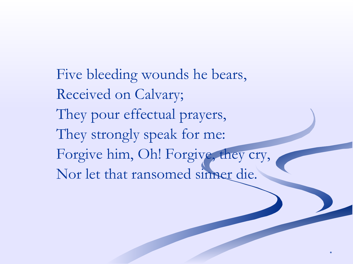Five bleeding wounds he bears, Received on Calvary; They pour effectual prayers, They strongly speak for me: Forgive him, Oh! Forgive, they cry, Nor let that ransomed sinner die.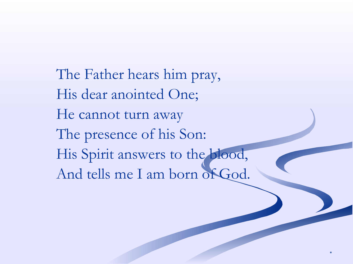The Father hears him pray, His dear anointed One; He cannot turn away The presence of his Son: His Spirit answers to the blood, And tells me I am born of God.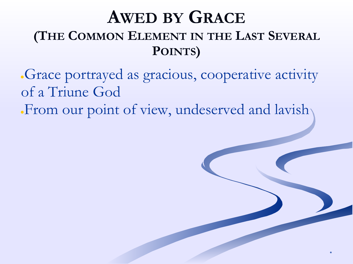#### **AWED BY GRACE (THE COMMON ELEMENT IN THE LAST SEVERAL POINTS)**

●Grace portrayed as gracious, cooperative activity of a Triune God

•From our point of view, undeserved and lavish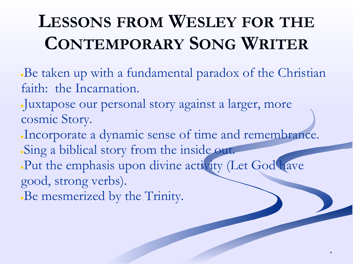## **LESSONS FROM WESLEY FOR THE CONTEMPORARY SONG WRITER**

- Be taken up with a fundamental paradox of the Christian faith: the Incarnation.
- ●Juxtapose our personal story against a larger, more cosmic Story.
- Incorporate a dynamic sense of time and remembrance. Sing a biblical story from the inside out.

- . Put the emphasis upon divine activity (Let God have good, strong verbs).
- Be mesmerized by the Trinity.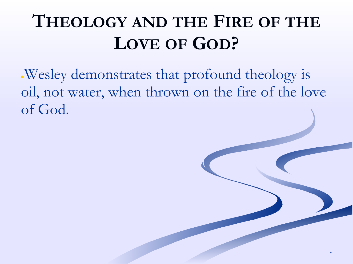### **THEOLOGY AND THE FIRE OF THE LOVE OF GOD?**

●Wesley demonstrates that profound theology is oil, not water, when thrown on the fire of the love of God.